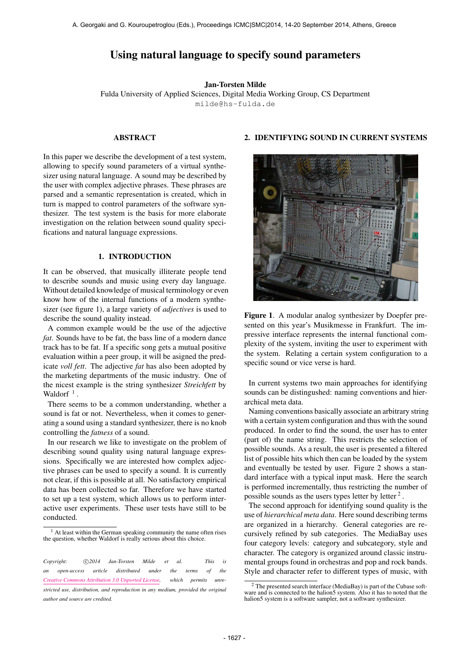# Using natural language to specify sound parameters

Jan-Torsten Milde

Fulda University of Applied Sciences, Digital Media Working Group, CS Department [milde@hs-fulda.de](mailto:milde@hs-fulda.de)

### ABSTRACT

In this paper we describe the development of a test system, allowing to specify sound parameters of a virtual synthesizer using natural language. A sound may be described by the user with complex adjective phrases. These phrases are parsed and a semantic representation is created, which in turn is mapped to control parameters of the software synthesizer. The test system is the basis for more elaborate investigation on the relation between sound quality specifications and natural language expressions.

#### 1. INTRODUCTION

It can be observed, that musically illiterate people tend to describe sounds and music using every day language. Without detailed knowledge of musical terminology or even know how of the internal functions of a modern synthesizer (see figure 1), a large variety of *adjectives* is used to describe the sound quality instead.

A common example would be the use of the adjective *fat*. Sounds have to be fat, the bass line of a modern dance track has to be fat. If a specific song gets a mutual positive evaluation within a peer group, it will be asigned the predicate *voll fett*. The adjective *fat* has also been adopted by the marketing departments of the music industry. One of the nicest example is the string synthesizer *Streichfett* by Waldorf<sup> $1$ </sup>.

There seems to be a common understanding, whether a sound is fat or not. Nevertheless, when it comes to generating a sound using a standard synthesizer, there is no knob controlling the *fatness* of a sound.

In our research we like to investigate on the problem of describing sound quality using natural language expressions. Specifically we are interested how complex adjective phrases can be used to specify a sound. It is currently not clear, if this is possible at all. No satisfactory empirical data has been collected so far. Therefore we have started to set up a test system, which allows us to perform interactive user experiments. These user tests have still to be conducted.

# 2. IDENTIFYING SOUND IN CURRENT SYSTEMS



Figure 1. A modular analog synthesizer by Doepfer presented on this year's Musikmesse in Frankfurt. The impressive interface represents the internal functional complexity of the system, inviting the user to experiment with the system. Relating a certain system configuration to a specific sound or vice verse is hard.

In current systems two main approaches for identifying sounds can be distingushed: naming conventions and hierarchical meta data.

Naming conventions basically associate an arbitrary string with a certain system configuration and thus with the sound produced. In order to find the sound, the user has to enter (part of) the name string. This restricts the selection of possible sounds. As a result, the user is presented a filtered list of possible hits which then can be loaded by the system and eventually be tested by user. Figure 2 shows a standard interface with a typical input mask. Here the search is performed incrementally, thus restricting the number of possible sounds as the users types letter by letter<sup>2</sup>.

The second approach for identifying sound quality is the use of *hierarchical meta data*. Here sound describing terms are organized in a hierarchy. General categories are recursively refined by sub categories. The MediaBay uses four category levels: category and subcategory, style and character. The category is organized around classic instrumental groups found in orchestras and pop and rock bands. Style and character refer to different types of music, with

<sup>&</sup>lt;sup>1</sup> At least within the German speaking community the name often rises the question, whether Waldorf is really serious about this choice.

*Copyright:*  $\bigcirc$  2014 Jan-Torsten Milde et al. This is *an open-access article distributed under the terms of the [Creative Commons Attribution 3.0 Unported License,](http://creativecommons.org/licenses/by/3.0/) which permits unrestricted use, distribution, and reproduction in any medium, provided the original author and source are credited.*

<sup>2</sup> The presented search interface (MediaBay) is part of the Cubase soft-ware and is connected to the halion5 system. Also it has to noted that the halion5 system is a software sampler, not a software synthesizer.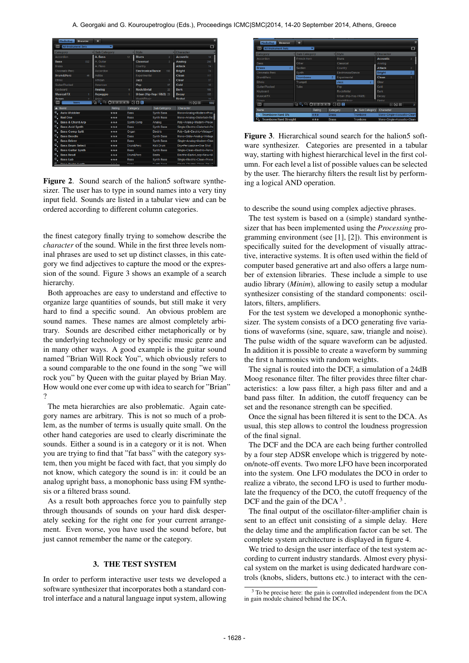| <b>MediaBay</b><br><b>Browser</b>                     |     | ۰                                                                                   |             |                                |                          |                                                      |                |
|-------------------------------------------------------|-----|-------------------------------------------------------------------------------------|-------------|--------------------------------|--------------------------|------------------------------------------------------|----------------|
| $\overline{\mathbb{R}}$<br><b>All Instrument Sets</b> |     | ≂                                                                                   |             |                                |                          |                                                      | $\blacksquare$ |
| Category                                              |     | <b>V</b> Sub Category                                                               |             | $\overline{\phantom{a}}$ Style |                          | - Character                                          |                |
| Accordion                                             |     | A. Bass                                                                             | 12          | <b>Blues</b>                   | $\overline{2}$           | <b>Acoustic</b>                                      | 18             |
| <b>Bass</b>                                           | 532 | A. Guitar                                                                           |             | <b>Classical</b>               | $\overline{\mathcal{X}}$ | Analog                                               | 298            |
| Brass                                                 |     | A Piano                                                                             |             | Country                        |                          | <b>Attack</b>                                        | 74             |
| Chromatic Perc                                        |     | Accordion                                                                           |             | <b>Electronica/Dance</b>       | 193                      | <b>Bright</b>                                        | 74             |
| <b>Drum&amp;Perc</b>                                  | 45  | Adlibs                                                                              |             | Experimental                   |                          | <b>Clean</b>                                         | 117            |
| Ethnic                                                |     | African                                                                             |             | Jazz                           | 7                        | Clear                                                | 37             |
| Guitar/Plucked                                        |     | American                                                                            |             | Pop                            | 97                       | Cold                                                 | 10             |
| Keyboard                                              |     | Analog                                                                              |             | <b>Rock/Metal</b>              | 20                       | Dark                                                 | 166            |
| <b>Musical FX</b>                                     |     | Arpeggio                                                                            |             |                                | Urban (Hip-Hop / R&B) 29 | Decay                                                | 155            |
| Ornan                                                 | n.  | Aplan                                                                               |             | <b><i>Model#finie</i></b>      |                          | <b>Digital</b>                                       | 76             |
| 133<br>bass                                           |     | $\frac{1}{2}$ $\frac{1}{2}$ $\frac{1}{2}$ $\frac{1}{2}$ $\frac{1}{3}$ $\frac{1}{4}$ | 5           | 日日回                            |                          | 日日冊                                                  | 592            |
| Name                                                  |     | Rating                                                                              |             | Category                       | Sub Category             | Character                                            |                |
| Q<br><b>Auto Wobbler</b>                              |     | ***                                                                                 | <b>Bass</b> |                                | <b>Synth Bass</b>        | Mono+Analog+Modern+Proc                              |                |
| o.<br><b>Bad One</b>                                  |     | ***                                                                                 | <b>Bass</b> |                                | <b>Synth Bass</b>        | Mono+Analog+Distorted+Ricl                           |                |
| Ξ.<br><b>Bass &amp; Chord Arp</b>                     |     | ***                                                                                 |             | Synth Comp                     | Analog                   | Poly+Analog+Modern+Proce                             |                |
| ο.<br><b>Bass Acid Synth</b>                          |     | ***                                                                                 | <b>Bass</b> |                                | <b>Synth Bass</b>        | Single+Electric+Distorted+Pn                         |                |
| ο.<br><b>Bass Comp Split</b>                          |     | <b>With the</b>                                                                     | Organ       |                                | <b>Flectric</b>          | Polv+Split+Electric+Vintage+1                        |                |
| ο.<br><b>Bass Doodle</b>                              |     | ***                                                                                 | <b>Bass</b> |                                | <b>Synth Bass</b>        | Mono+Glide+Analog+Vintage                            |                |
| o.<br><b>Bass Driver</b>                              |     | ***                                                                                 | <b>Bass</b> |                                | <b>Synth Bass</b>        | Single+Analog+Modern+Disti                           |                |
| Ξ.<br><b>Bass Drum Select</b>                         |     | ***                                                                                 |             | Drum&Perc                      | <b>Kick Drum</b>         | Drv+Percussive+One Shot                              |                |
| ο.<br><b>Bass Guitar Synth</b>                        |     | ***                                                                                 | <b>Bass</b> |                                | <b>Synth Bass</b>        | Single+Clean+Electric+Percu                          |                |
| ο.<br><b>Bass Head</b>                                |     | ***                                                                                 |             | Drum&Perc                      | <b>Beats</b>             | Electric+Dark+Loop+New+M                             |                |
| ο.<br><b>Bass Lab</b>                                 |     | ***                                                                                 | <b>Bass</b> |                                | <b>Synth Bass</b>        | Single+Electric+Clean+Proce                          |                |
| F<br><b>Photo Contract Provide</b>                    |     | $\cdots$                                                                            | $n = -1$    |                                | <b>Provide Provide</b>   | Other and are a Philadelphia of a Other and a Direct |                |

Figure 2. Sound search of the halion5 software synthesizer. The user has to type in sound names into a very tiny input field. Sounds are listed in a tabular view and can be ordered according to different column categories.

the finest category finally trying to somehow describe the *character* of the sound. While in the first three levels nominal phrases are used to set up distinct classes, in this category we find adjectives to capture the mood or the expression of the sound. Figure 3 shows an example of a search hierarchy.

Both approaches are easy to understand and effective to organize large quantities of sounds, but still make it very hard to find a specific sound. An obvious problem are sound names. These names are almost completely arbitrary. Sounds are described either metaphorically or by the underlying technology or by specific music genre and in many other ways. A good example is the guitar sound named "Brian Will Rock You", which obviously refers to a sound comparable to the one found in the song "we will rock you" by Queen with the guitar played by Brian May. How would one ever come up with idea to search for "Brian" ?

The meta hierarchies are also problematic. Again category names are arbitrary. This is not so much of a problem, as the number of terms is usually quite small. On the other hand categories are used to clearly discriminate the sounds. Either a sound is in a category or it is not. When you are trying to find that "fat bass" with the category system, then you might be faced with fact, that you simply do not know, which category the sound is in: it could be an analog upright bass, a monophonic bass using FM synthesis or a filtered brass sound.

As a result both approaches force you to painfully step through thousands of sounds on your hard disk desperately seeking for the right one for your current arrangement. Even worse, you have used the sound before, but just cannot remember the name or the category.

## 3. THE TEST SYSTEM

In order to perform interactive user tests we developed a software synthesizer that incorporates both a standard control interface and a natural language input system, allowing



Figure 3. Hierarchical sound search for the halion5 software synthesizer. Categories are presented in a tabular way, starting with highest hierarchical level in the first column. For each level a list of possible values can be selected by the user. The hierarchy filters the result list by performing a logical AND operation.

to describe the sound using complex adjective phrases.

The test system is based on a (simple) standard synthesizer that has been implemented using the *Processing* programming environment (see [1], [2]). This environment is specifically suited for the development of visually attractive, interactive systems. It is often used within the field of computer based generative art and also offers a large number of extension libraries. These include a simple to use audio library (*Minim*), allowing to easily setup a modular synthesizer consisting of the standard components: oscillators, filters, amplifiers.

For the test system we developed a monophonic synthesizer. The system consists of a DCO generating five variations of waveforms (sine, square, saw, triangle and noise). The pulse width of the square waveform can be adjusted. In addition it is possible to create a waveform by summing the first n harmonics with random weights.

The signal is routed into the DCF, a simulation of a 24dB Moog resonance filter. The filter provides three filter characteristics: a low pass filter, a high pass filter and and a band pass filter. In addition, the cutoff frequency can be set and the resonance strength can be specified.

Once the signal has been filtered it is sent to the DCA. As usual, this step allows to control the loudness progression of the final signal.

The DCF and the DCA are each being further controlled by a four step ADSR envelope which is triggered by noteon/note-off events. Two more LFO have been incorporated into the system. One LFO modulates the DCO in order to realize a vibrato, the second LFO is used to further modulate the frequency of the DCO, the cutoff frequency of the DCF and the gain of the DCA $<sup>3</sup>$ .</sup>

The final output of the oscillator-filter-amplifier chain is sent to an effect unit consisting of a simple delay. Here the delay time and the amplification factor can be set. The complete system architecture is displayed in figure 4.

We tried to design the user interface of the test system according to current industry standards. Almost every physical system on the market is using dedicated hardware controls (knobs, sliders, buttons etc.) to interact with the cen-

 $3$  To be precise here: the gain is controlled independent from the DCA in gain module chained behind the DCA.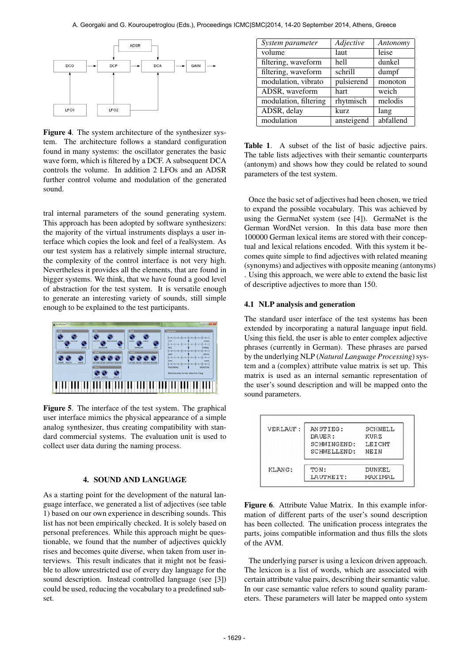

Figure 4. The system architecture of the synthesizer system. The architecture follows a standard configuration found in many systems: the oscillator generates the basic wave form, which is filtered by a DCF. A subsequent DCA controls the volume. In addition 2 LFOs and an ADSR further control volume and modulation of the generated sound.

tral internal parameters of the sound generating system. This approach has been adopted by software synthesizers: the majority of the virtual instruments displays a user interface which copies the look and feel of a realsystem. As our test system has a relatively simple internal structure, the complexity of the control interface is not very high. Nevertheless it provides all the elements, that are found in bigger systems. We think, that we have found a good level of abstraction for the test system. It is versatile enough to generate an interesting variety of sounds, still simple enough to be explained to the test participants.



Figure 5. The interface of the test system. The graphical user interface mimics the physical appearance of a simple analog synthesizer, thus creating compatibility with standard commercial systems. The evaluation unit is used to collect user data during the naming process.

## 4. SOUND AND LANGUAGE

As a starting point for the development of the natural language interface, we generated a list of adjectives (see table 1) based on our own experience in describing sounds. This list has not been empirically checked. It is solely based on personal preferences. While this approach might be questionable, we found that the number of adjectives quickly rises and becomes quite diverse, when taken from user interviews. This result indicates that it might not be feasible to allow unrestricted use of every day language for the sound description. Instead controlled language (see [3]) could be used, reducing the vocabulary to a predefined subset.

| System parameter      | Adjective  | Antonomy  |
|-----------------------|------------|-----------|
| volume                | laut       | leise     |
| filtering, waveform   | hell       | dunkel    |
| filtering, waveform   | schrill    | dumpf     |
| modulation, vibrato   | pulsierend | monoton   |
| ADSR, waveform        | hart       | weich     |
| modulation, filtering | rhytmisch  | melodis   |
| ADSR, delay           | kurz       | lang      |
| modulation            | ansteigend | abfallend |
|                       |            |           |

Table 1. A subset of the list of basic adjective pairs. The table lists adjectives with their semantic counterparts (antonym) and shows how they could be related to sound parameters of the test system.

Once the basic set of adjectives had been chosen, we tried to expand the possible vocabulary. This was achieved by using the GermaNet system (see [4]). GermaNet is the German WordNet version. In this data base more then 100000 German lexical items are stored with their conceptual and lexical relations encoded. With this system it becomes quite simple to find adjectives with related meaning (synonyms) and adjectives with opposite meaning (antonyms) . Using this approach, we were able to extend the basic list of descriptive adjectives to more than 150.

#### 4.1 NLP analysis and generation

The standard user interface of the test systems has been extended by incorporating a natural language input field. Using this field, the user is able to enter complex adjective phrases (currently in German). These phrases are parsed by the underlying NLP (*Natural Language Processing*) system and a (complex) attribute value matrix is set up. This matrix is used as an internal semantic representation of the user's sound description and will be mapped onto the sound parameters.

| VERLAUF: | ANSTIEG:    | SCHNELL |
|----------|-------------|---------|
|          | DAUER:      | KURZ    |
|          | SCHWINGEND: | LEICHT  |
|          | SCHWELLEND: | NEIN    |
| KLANG:   | TON:        | DUNKEL  |
|          | LAUTHEIT:   | MAXIMAL |

Figure 6. Attribute Value Matrix. In this example information of different parts of the user's sound description has been collected. The unification process integrates the parts, joins compatible information and thus fills the slots of the AVM.

The underlying parser is using a lexicon driven approach. The lexicon is a list of words, which are associated with certain attribute value pairs, describing their semantic value. In our case semantic value refers to sound quality parameters. These parameters will later be mapped onto system